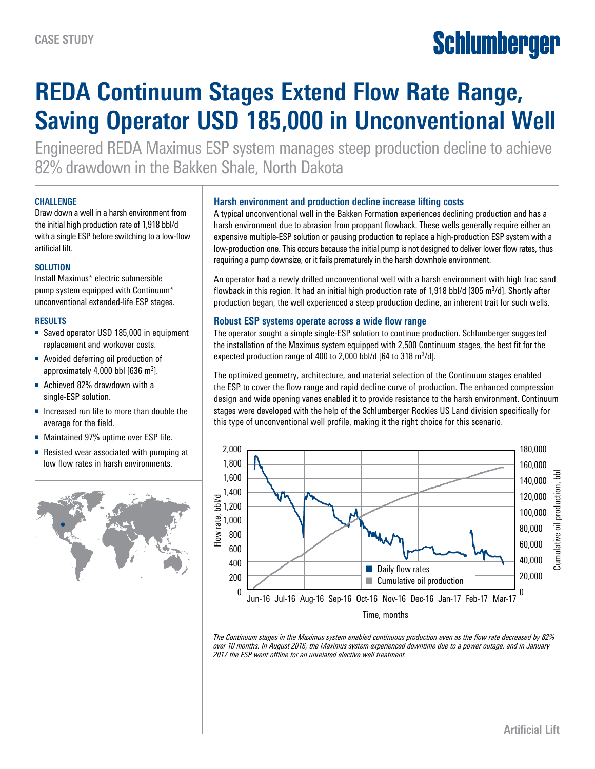# Schlumberger

# **REDA Continuum Stages Extend Flow Rate Range, Saving Operator USD 185,000 in Unconventional Well**

Engineered REDA Maximus ESP system manages steep production decline to achieve 82% drawdown in the Bakken Shale, North Dakota

#### **CHALLENGE**

Draw down a well in a harsh environment from the initial high production rate of 1,918 bbl/d with a single ESP before switching to a low-flow artificial lift.

# **SOLUTION**

Install Maximus\* electric submersible pump system equipped with Continuum\* unconventional extended-life ESP stages.

# **RESULTS**

- Saved operator USD 185,000 in equipment replacement and workover costs.
- Avoided deferring oil production of approximately  $4,000$  bbl  $[636 \text{ m}^3]$ .
- Achieved 82% drawdown with a single-ESP solution.
- Increased run life to more than double the average for the field.
- Maintained 97% uptime over ESP life.
- Resisted wear associated with pumping at low flow rates in harsh environments.



#### **Harsh environment and production decline increase lifting costs**

A typical unconventional well in the Bakken Formation experiences declining production and has a harsh environment due to abrasion from proppant flowback. These wells generally require either an expensive multiple-ESP solution or pausing production to replace a high-production ESP system with a low-production one. This occurs because the initial pump is not designed to deliver lower flow rates, thus requiring a pump downsize, or it fails prematurely in the harsh downhole environment.

An operator had a newly drilled unconventional well with a harsh environment with high frac sand flowback in this region. It had an initial high production rate of 1,918 bbl/d [305 m<sup>3</sup>/d]. Shortly after production began, the well experienced a steep production decline, an inherent trait for such wells.

# **Robust ESP systems operate across a wide flow range**

The operator sought a simple single-ESP solution to continue production. Schlumberger suggested the installation of the Maximus system equipped with 2,500 Continuum stages, the best fit for the expected production range of  $400$  to 2,000 bbl/d [64 to 318 m $3/$ d].

The optimized geometry, architecture, and material selection of the Continuum stages enabled the ESP to cover the flow range and rapid decline curve of production. The enhanced compression design and wide opening vanes enabled it to provide resistance to the harsh environment. Continuum stages were developed with the help of the Schlumberger Rockies US Land division specifically for this type of unconventional well profile, making it the right choice for this scenario.



*The Continuum stages in the Maximus system enabled continuous production even as the flow rate decreased by 82% over 10 months. In August 2016, the Maximus system experienced downtime due to a power outage, and in January 2017 the ESP went offline for an unrelated elective well treatment.*